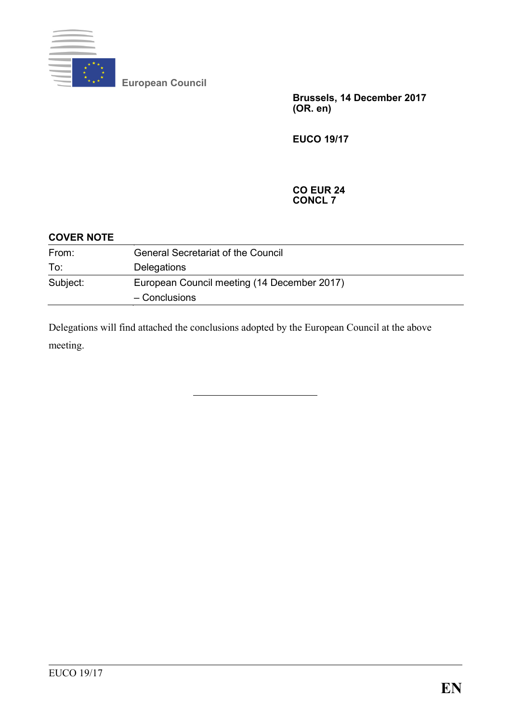

**European Council**

**Brussels, 14 December 2017 (OR. en)**

**EUCO 19/17**

#### **CO EUR 24 CONCL 7**

| <b>COVER NOTE</b> |                                                              |
|-------------------|--------------------------------------------------------------|
| From:             | <b>General Secretariat of the Council</b>                    |
| To:               | Delegations                                                  |
| Subject:          | European Council meeting (14 December 2017)<br>- Conclusions |

Delegations will find attached the conclusions adopted by the European Council at the above meeting.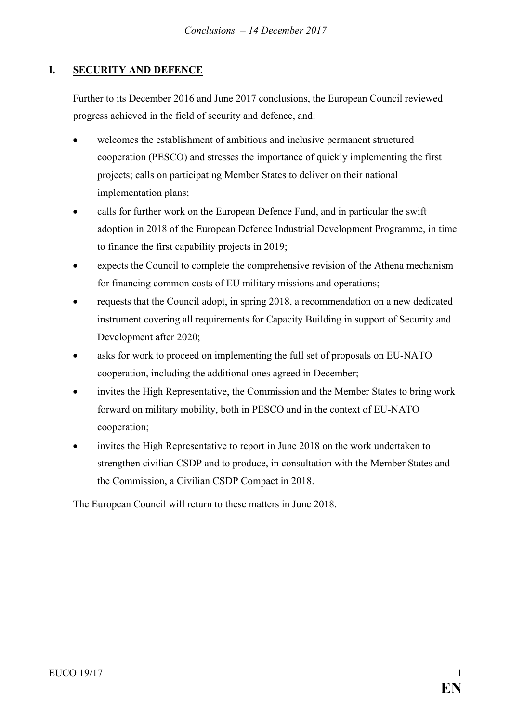# **I. SECURITY AND DEFENCE**

Further to its December 2016 and June 2017 conclusions, the European Council reviewed progress achieved in the field of security and defence, and:

- welcomes the establishment of ambitious and inclusive permanent structured cooperation (PESCO) and stresses the importance of quickly implementing the first projects; calls on participating Member States to deliver on their national implementation plans;
- calls for further work on the European Defence Fund, and in particular the swift adoption in 2018 of the European Defence Industrial Development Programme, in time to finance the first capability projects in 2019;
- expects the Council to complete the comprehensive revision of the Athena mechanism for financing common costs of EU military missions and operations;
- requests that the Council adopt, in spring 2018, a recommendation on a new dedicated instrument covering all requirements for Capacity Building in support of Security and Development after 2020;
- asks for work to proceed on implementing the full set of proposals on EU-NATO cooperation, including the additional ones agreed in December;
- invites the High Representative, the Commission and the Member States to bring work forward on military mobility, both in PESCO and in the context of EU-NATO cooperation;
- invites the High Representative to report in June 2018 on the work undertaken to strengthen civilian CSDP and to produce, in consultation with the Member States and the Commission, a Civilian CSDP Compact in 2018.

The European Council will return to these matters in June 2018.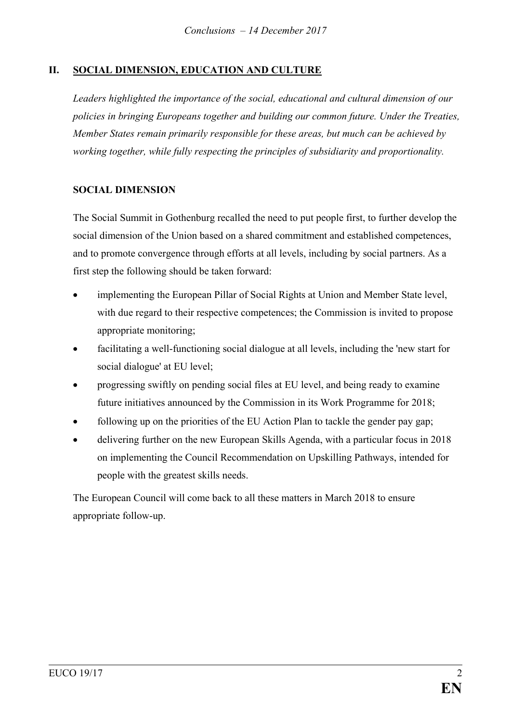# **II. SOCIAL DIMENSION, EDUCATION AND CULTURE**

*Leaders highlighted the importance of the social, educational and cultural dimension of our policies in bringing Europeans together and building our common future. Under the Treaties, Member States remain primarily responsible for these areas, but much can be achieved by working together, while fully respecting the principles of subsidiarity and proportionality.*

### **SOCIAL DIMENSION**

The Social Summit in Gothenburg recalled the need to put people first, to further develop the social dimension of the Union based on a shared commitment and established competences, and to promote convergence through efforts at all levels, including by social partners. As a first step the following should be taken forward:

- implementing the European Pillar of Social Rights at Union and Member State level, with due regard to their respective competences; the Commission is invited to propose appropriate monitoring;
- facilitating a well-functioning social dialogue at all levels, including the 'new start for social dialogue' at EU level;
- progressing swiftly on pending social files at EU level, and being ready to examine future initiatives announced by the Commission in its Work Programme for 2018;
- following up on the priorities of the EU Action Plan to tackle the gender pay gap;
- delivering further on the new European Skills Agenda, with a particular focus in 2018 on implementing the Council Recommendation on Upskilling Pathways, intended for people with the greatest skills needs.

The European Council will come back to all these matters in March 2018 to ensure appropriate follow-up.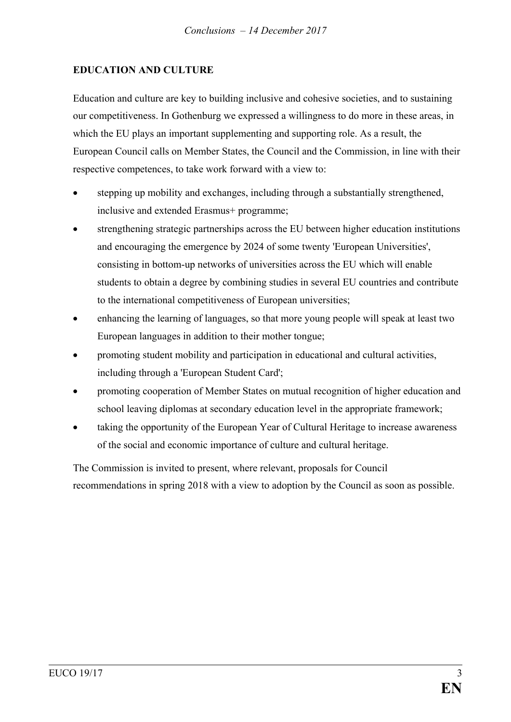### **EDUCATION AND CULTURE**

Education and culture are key to building inclusive and cohesive societies, and to sustaining our competitiveness. In Gothenburg we expressed a willingness to do more in these areas, in which the EU plays an important supplementing and supporting role. As a result, the European Council calls on Member States, the Council and the Commission, in line with their respective competences, to take work forward with a view to:

- stepping up mobility and exchanges, including through a substantially strengthened, inclusive and extended Erasmus+ programme;
- strengthening strategic partnerships across the EU between higher education institutions and encouraging the emergence by 2024 of some twenty 'European Universities', consisting in bottom-up networks of universities across the EU which will enable students to obtain a degree by combining studies in several EU countries and contribute to the international competitiveness of European universities;
- enhancing the learning of languages, so that more young people will speak at least two European languages in addition to their mother tongue;
- promoting student mobility and participation in educational and cultural activities, including through a 'European Student Card';
- promoting cooperation of Member States on mutual recognition of higher education and school leaving diplomas at secondary education level in the appropriate framework;
- taking the opportunity of the European Year of Cultural Heritage to increase awareness of the social and economic importance of culture and cultural heritage.

The Commission is invited to present, where relevant, proposals for Council recommendations in spring 2018 with a view to adoption by the Council as soon as possible.